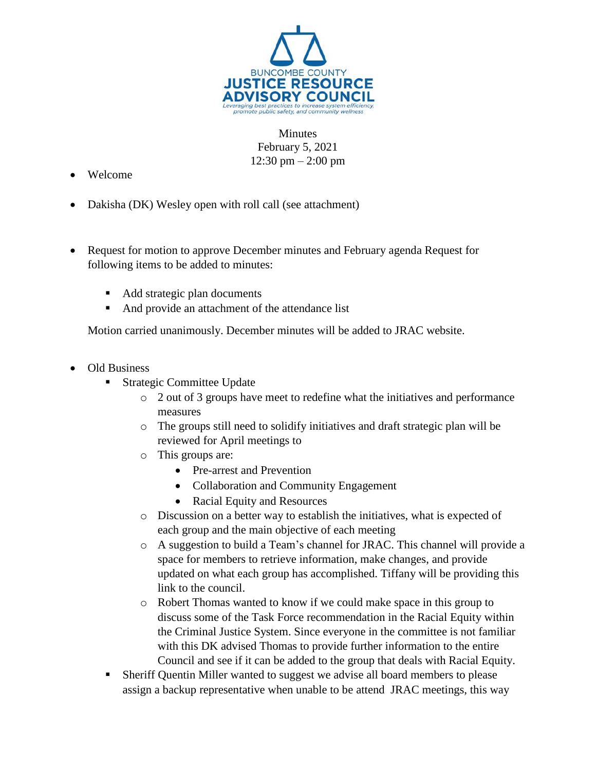

Minutes February 5, 2021 12:30 pm – 2:00 pm

- Welcome
- Dakisha (DK) Wesley open with roll call (see attachment)
- Request for motion to approve December minutes and February agenda Request for following items to be added to minutes:
	- Add strategic plan documents
	- And provide an attachment of the attendance list

Motion carried unanimously. December minutes will be added to JRAC website.

- Old Business
	- Strategic Committee Update
		- $\circ$  2 out of 3 groups have meet to redefine what the initiatives and performance measures
		- o The groups still need to solidify initiatives and draft strategic plan will be reviewed for April meetings to
		- o This groups are:
			- Pre-arrest and Prevention
			- Collaboration and Community Engagement
			- Racial Equity and Resources
		- o Discussion on a better way to establish the initiatives, what is expected of each group and the main objective of each meeting
		- o A suggestion to build a Team's channel for JRAC. This channel will provide a space for members to retrieve information, make changes, and provide updated on what each group has accomplished. Tiffany will be providing this link to the council.
		- o Robert Thomas wanted to know if we could make space in this group to discuss some of the Task Force recommendation in the Racial Equity within the Criminal Justice System. Since everyone in the committee is not familiar with this DK advised Thomas to provide further information to the entire Council and see if it can be added to the group that deals with Racial Equity.
	- Sheriff Quentin Miller wanted to suggest we advise all board members to please assign a backup representative when unable to be attend JRAC meetings, this way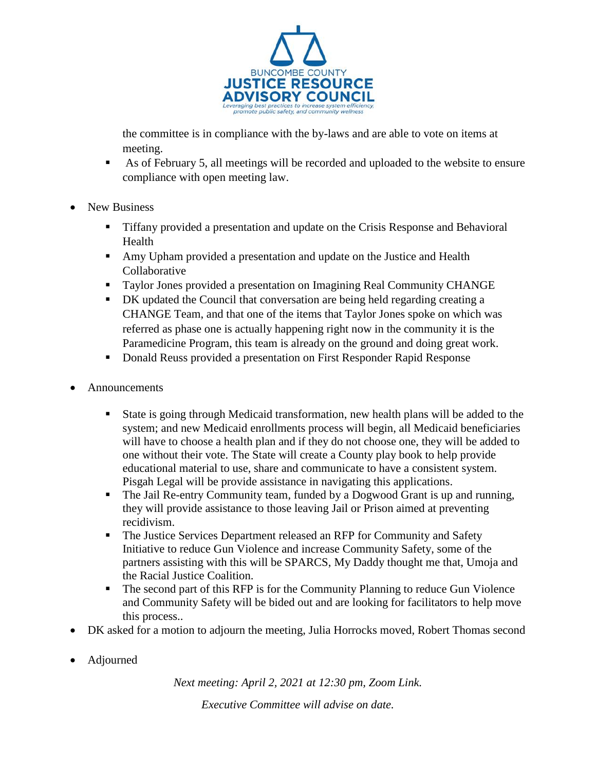

the committee is in compliance with the by-laws and are able to vote on items at meeting.

- As of February 5, all meetings will be recorded and uploaded to the website to ensure compliance with open meeting law.
- New Business
	- Tiffany provided a presentation and update on the Crisis Response and Behavioral Health
	- Amy Upham provided a presentation and update on the Justice and Health Collaborative
	- Taylor Jones provided a presentation on Imagining Real Community CHANGE
	- DK updated the Council that conversation are being held regarding creating a CHANGE Team, and that one of the items that Taylor Jones spoke on which was referred as phase one is actually happening right now in the community it is the Paramedicine Program, this team is already on the ground and doing great work.
	- Donald Reuss provided a presentation on First Responder Rapid Response
- Announcements
	- State is going through Medicaid transformation, new health plans will be added to the system; and new Medicaid enrollments process will begin, all Medicaid beneficiaries will have to choose a health plan and if they do not choose one, they will be added to one without their vote. The State will create a County play book to help provide educational material to use, share and communicate to have a consistent system. Pisgah Legal will be provide assistance in navigating this applications.
	- The Jail Re-entry Community team, funded by a Dogwood Grant is up and running, they will provide assistance to those leaving Jail or Prison aimed at preventing recidivism.
	- The Justice Services Department released an RFP for Community and Safety Initiative to reduce Gun Violence and increase Community Safety, some of the partners assisting with this will be SPARCS, My Daddy thought me that, Umoja and the Racial Justice Coalition.
	- The second part of this RFP is for the Community Planning to reduce Gun Violence and Community Safety will be bided out and are looking for facilitators to help move this process..
- DK asked for a motion to adjourn the meeting, Julia Horrocks moved, Robert Thomas second
- Adjourned

*Next meeting: April 2, 2021 at 12:30 pm, Zoom Link.*

*Executive Committee will advise on date.*